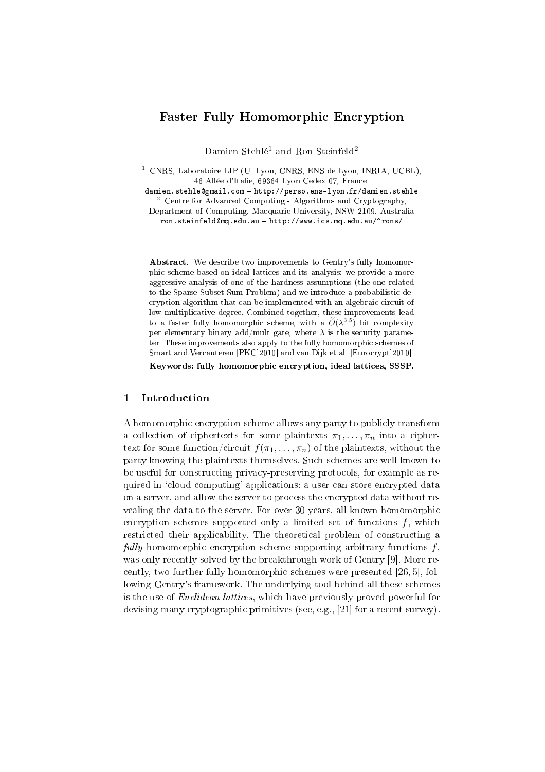# Faster Fully Homomorphic Encryption

Damien Stehlé<sup>1</sup> and Ron Steinfeld<sup>2</sup>

 $1$  CNRS, Laboratoire LIP (U. Lyon, CNRS, ENS de Lyon, INRIA, UCBL), 46 Allée d'Italie, 69364 Lyon Cedex 07, France.

damien.stehle@gmail.com - http://perso.ens-lyon.fr/damien.stehle <sup>2</sup> Centre for Advanced Computing - Algorithms and Cryptography,

Department of Computing, Macquarie University, NSW 2109, Australia ron.steinfeld@mq.edu.au - http://www.ics.mq.edu.au/~rons/

Abstract. We describe two improvements to Gentry's fully homomorphic scheme based on ideal lattices and its analysis: we provide a more aggressive analysis of one of the hardness assumptions (the one related to the Sparse Subset Sum Problem) and we introduce a probabilistic decryption algorithm that can be implemented with an algebraic circuit of low multiplicative degree. Combined together, these improvements lead to a faster fully homomorphic scheme, with a  $\widetilde{O}(\lambda^{3.5})$  bit complexity per elementary binary add/mult gate, where  $\lambda$  is the security parameter. These improvements also apply to the fully homomorphic schemes of Smart and Vercauteren [PKC'2010] and van Dijk et al. [Eurocrypt'2010].

Keywords: fully homomorphic encryption, ideal lattices, SSSP.

# 1 Introduction

A homomorphic encryption scheme allows any party to publicly transform a collection of ciphertexts for some plaintexts  $\pi_1, \ldots, \pi_n$  into a ciphertext for some function/circuit  $f(\pi_1, \ldots, \pi_n)$  of the plaintexts, without the party knowing the plaintexts themselves. Such schemes are well known to be useful for constructing privacy-preserving protocols, for example as required in 'cloud computing' applications: a user can store encrypted data on a server, and allow the server to process the encrypted data without revealing the data to the server. For over 30 years, all known homomorphic encryption schemes supported only a limited set of functions  $f$ , which restricted their applicability. The theoretical problem of constructing a fully homomorphic encryption scheme supporting arbitrary functions  $f$ , was only recently solved by the breakthrough work of Gentry [9]. More recently, two further fully homomorphic schemes were presented [26, 5], following Gentry's framework. The underlying tool behind all these schemes is the use of Euclidean lattices, which have previously proved powerful for devising many cryptographic primitives (see, e.g., [21] for a recent survey).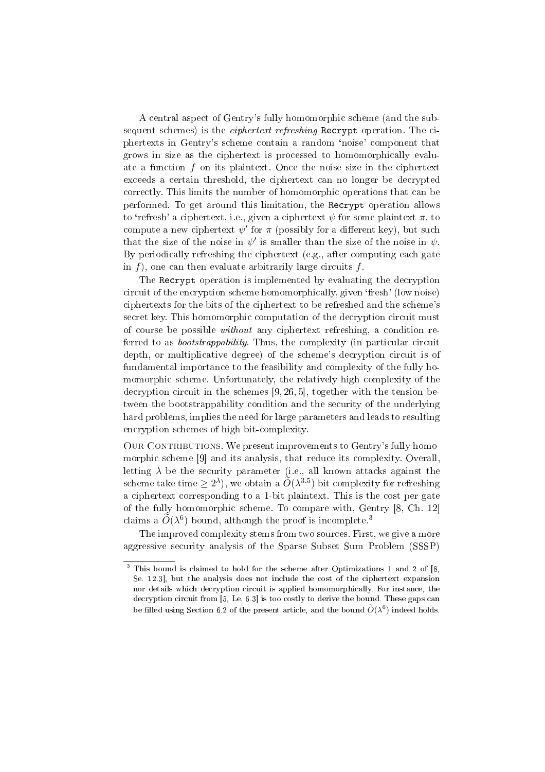A central aspect of Gentry's fully homomorphic scheme (and the subsequent schemes) is the *ciphertext refreshing* Recrypt operation. The ciphertexts in Gentry's scheme contain a random `noise' component that grows in size as the ciphertext is processed to homomorphically evaluate a function f on its plaintext. Once the noise size in the ciphertext exceeds a certain threshold, the ciphertext can no longer be decrypted correctly. This limits the number of homomorphic operations that can be performed. To get around this limitation, the Recrypt operation allows to 'refresh' a ciphertext, i.e., given a ciphertext  $\psi$  for some plaintext  $\pi$ , to compute a new ciphertext  $\psi'$  for  $\pi$  (possibly for a different key), but such that the size of the noise in  $\psi'$  is smaller than the size of the noise in  $\psi$ . By periodically refreshing the ciphertext (e.g., after computing each gate in  $f$ ), one can then evaluate arbitrarily large circuits  $f$ .

The Recrypt operation is implemented by evaluating the decryption circuit of the encryption scheme homomorphically, given `fresh' (low noise) ciphertexts for the bits of the ciphertext to be refreshed and the scheme's secret key. This homomorphic computation of the decryption circuit must of course be possible without any ciphertext refreshing, a condition referred to as *bootstrappability*. Thus, the complexity (in particular circuit depth, or multiplicative degree) of the scheme's decryption circuit is of fundamental importance to the feasibility and complexity of the fully homomorphic scheme. Unfortunately, the relatively high complexity of the decryption circuit in the schemes [9, 26, 5], together with the tension between the bootstrappability condition and the security of the underlying hard problems, implies the need for large parameters and leads to resulting encryption schemes of high bit-complexity.

OUR CONTRIBUTIONS. We present improvements to Gentry's fully homomorphic scheme [9] and its analysis, that reduce its complexity. Overall, letting  $\lambda$  be the security parameter (i.e., all known attacks against the scheme take time  $\geq 2^{\lambda}$ ), we obtain a  $\widetilde{O}(\lambda^{3.5})$  bit complexity for refreshing a ciphertext corresponding to a 1-bit plaintext. This is the cost per gate of the fully homomorphic scheme. To compare with, Gentry [8, Ch. 12] claims a  $\widetilde{O}(\lambda^6)$  bound, although the proof is incomplete.<sup>3</sup>

The improved complexity stems from two sources. First, we give a more aggressive security analysis of the Sparse Subset Sum Problem (SSSP)

 $3$  This bound is claimed to hold for the scheme after Optimizations 1 and 2 of [8, Se. 12.3], but the analysis does not include the cost of the ciphertext expansion nor details which decryption circuit is applied homomorphically. For instance, the decryption circuit from [5, Le. 6.3] is too costly to derive the bound. These gaps can be filled using Section 6.2 of the present article, and the bound  $\widetilde{O}(\lambda^6)$  indeed holds.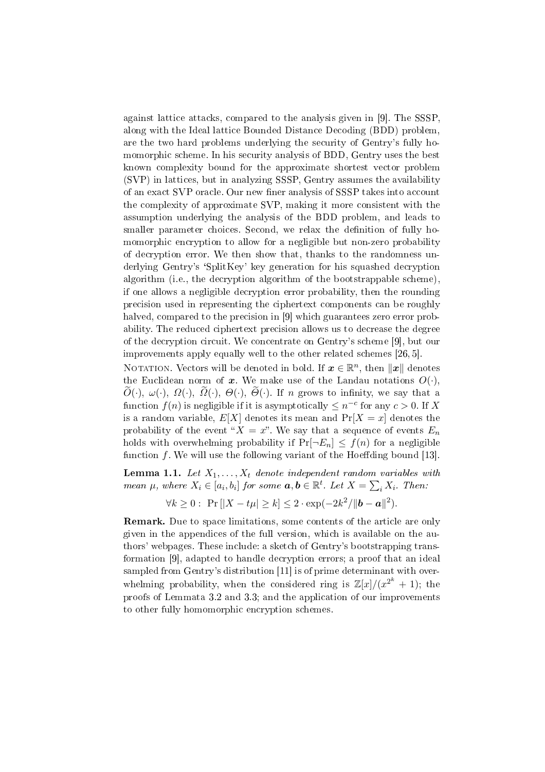against lattice attacks, compared to the analysis given in [9]. The SSSP, along with the Ideal lattice Bounded Distance Decoding (BDD) problem, are the two hard problems underlying the security of Gentry's fully homomorphic scheme. In his security analysis of BDD, Gentry uses the best known complexity bound for the approximate shortest vector problem (SVP) in lattices, but in analyzing SSSP, Gentry assumes the availability of an exact SVP oracle. Our new finer analysis of SSSP takes into account the complexity of approximate SVP, making it more consistent with the assumption underlying the analysis of the BDD problem, and leads to smaller parameter choices. Second, we relax the definition of fully homomorphic encryption to allow for a negligible but non-zero probability of decryption error. We then show that, thanks to the randomness underlying Gentry's `SplitKey' key generation for his squashed decryption algorithm (i.e., the decryption algorithm of the bootstrappable scheme), if one allows a negligible decryption error probability, then the rounding precision used in representing the ciphertext components can be roughly halved, compared to the precision in [9] which guarantees zero error probability. The reduced ciphertext precision allows us to decrease the degree of the decryption circuit. We concentrate on Gentry's scheme [9], but our improvements apply equally well to the other related schemes [26, 5].

NOTATION. Vectors will be denoted in bold. If  $\boldsymbol{x} \in \mathbb{R}^n,$  then  $\|\boldsymbol{x}\|$  denotes the Euclidean norm of x. We make use of the Landau notations  $O(\cdot)$ ,  $\overline{O}(\cdot), \omega(\cdot), \Omega(\cdot), \overline{O}(\cdot), \Theta(\cdot), \overline{\Theta}(\cdot)$ . If n grows to infinity, we say that a function  $f(n)$  is negligible if it is asymptotically  $\leq n^{-c}$  for any  $c > 0$ . If X is a random variable,  $E[X]$  denotes its mean and  $Pr[X = x]$  denotes the probability of the event " $X = x$ ". We say that a sequence of events  $E_n$ holds with overwhelming probability if  $Pr[\neg E_n] \leq f(n)$  for a negligible function  $f$ . We will use the following variant of the Hoeffding bound [13].

**Lemma 1.1.** Let  $X_1, \ldots, X_t$  denote independent random variables with mean  $\mu$ , where  $X_i \in [a_i,b_i]$  for some  $\boldsymbol{a},\boldsymbol{b} \in \mathbb{R}^t$ . Let  $X = \sum_i X_i$ . Then:

$$
\forall k \ge 0: \Pr[|X - t\mu| \ge k] \le 2 \cdot \exp(-2k^2/\|\mathbf{b} - \mathbf{a}\|^2).
$$

**Remark.** Due to space limitations, some contents of the article are only given in the appendices of the full version, which is available on the authors' webpages. These include: a sketch of Gentry's bootstrapping transformation [9], adapted to handle decryption errors; a proof that an ideal sampled from Gentry's distribution [11] is of prime determinant with overwhelming probability, when the considered ring is  $\mathbb{Z}[x]/(x^{2^k} + 1)$ ; the proofs of Lemmata 3.2 and 3.3; and the application of our improvements to other fully homomorphic encryption schemes.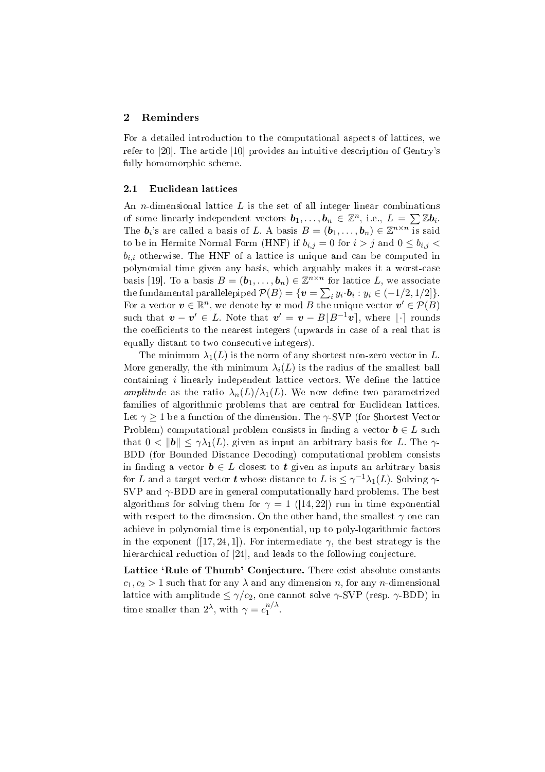## 2 Reminders

For a detailed introduction to the computational aspects of lattices, we refer to [20]. The article [10] provides an intuitive description of Gentry's fully homomorphic scheme.

### 2.1 Euclidean lattices

An *n*-dimensional lattice  $L$  is the set of all integer linear combinations An *n*-dimensional lattice *L* is the set of an integer linear combinations of some linearly independent vectors  $b_1, \ldots, b_n \in \mathbb{Z}^n$ , i.e.,  $L = \sum \mathbb{Z} b_i$ . The  $b_i$ 's are called a basis of L. A basis  $B = (b_1, \ldots, b_n) \in \mathbb{Z}^{n \times n}$  is said to be in Hermite Normal Form (HNF) if  $b_{i,j} = 0$  for  $i > j$  and  $0 \leq b_{i,j} <$  $b_{i,i}$  otherwise. The HNF of a lattice is unique and can be computed in polynomial time given any basis, which arguably makes it a worst-case basis [19]. To a basis  $B = (\mathbf{b}_1, \dots, \mathbf{b}_n) \in \mathbb{Z}^{n \times n}$  for lattice L, we associate the fundamental parallelepiped  $\mathcal{P}(B) = \{ \boldsymbol{v} = \sum_i y_i \cdot \boldsymbol{b}_i : y_i \in (-1/2, 1/2] \}.$ For a vector  $\boldsymbol{v} \in \mathbb{R}^n$ , we denote by  $\boldsymbol{v}$  mod B the unique vector  $\boldsymbol{v}' \in \mathcal{P}(B)$ such that  $\boldsymbol{v} - \boldsymbol{v}' \in L$ . Note that  $\boldsymbol{v}' = \boldsymbol{v} - B\lfloor B^{-1}\boldsymbol{v} \rfloor$ , where  $\lfloor \cdot \rceil$  rounds the coefficients to the nearest integers (upwards in case of a real that is equally distant to two consecutive integers).

The minimum  $\lambda_1(L)$  is the norm of any shortest non-zero vector in L. More generally, the *i*th minimum  $\lambda_i(L)$  is the radius of the smallest ball containing  $i$  linearly independent lattice vectors. We define the lattice amplitude as the ratio  $\lambda_n(L)/\lambda_1(L)$ . We now define two parametrized families of algorithmic problems that are central for Euclidean lattices. Let  $\gamma \geq 1$  be a function of the dimension. The  $\gamma$ -SVP (for Shortest Vector Problem) computational problem consists in finding a vector  $\mathbf{b} \in L$  such that  $0 < ||b|| \leq \gamma \lambda_1(L)$ , given as input an arbitrary basis for L. The  $\gamma$ -BDD (for Bounded Distance Decoding) computational problem consists in finding a vector  $\mathbf{b} \in L$  closest to  $\mathbf{t}$  given as inputs an arbitrary basis for  $L$  and a target vector  $\boldsymbol{t}$  whose distance to  $L$  is  $\leq \gamma^{-1} \lambda_1(L)$ . Solving  $\gamma$ -SVP and  $\gamma$ -BDD are in general computationally hard problems. The best algorithms for solving them for  $\gamma = 1$  ([14,22]) run in time exponential with respect to the dimension. On the other hand, the smallest  $\gamma$  one can achieve in polynomial time is exponential, up to poly-logarithmic factors in the exponent ([17, 24, 1]). For intermediate  $\gamma$ , the best strategy is the hierarchical reduction of [24], and leads to the following conjecture.

Lattice 'Rule of Thumb' Conjecture. There exist absolute constants  $c_1, c_2 > 1$  such that for any  $\lambda$  and any dimension n, for any n-dimensional lattice with amplitude  $\leq \gamma/c_2$ , one cannot solve  $\gamma$ -SVP (resp.  $\gamma$ -BDD) in time smaller than  $2^{\lambda}$ , with  $\gamma = c_1^{n/\lambda}$  $\int_1^{\pi/2}$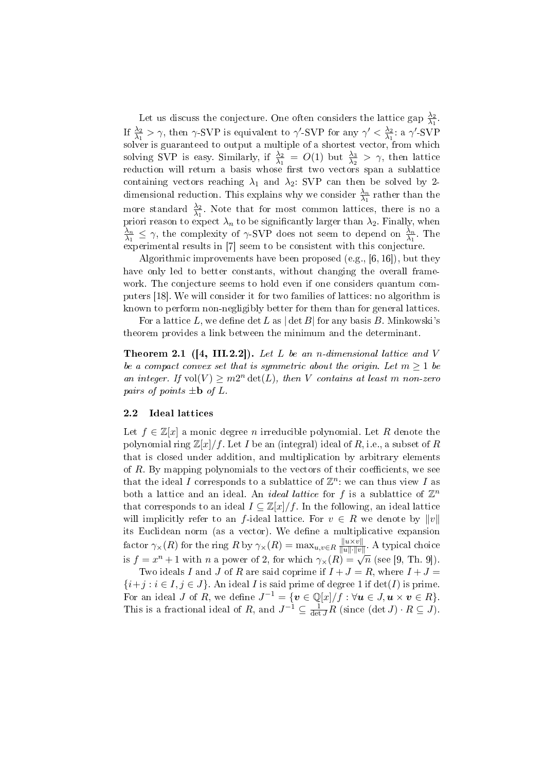Let us discuss the conjecture. One often considers the lattice gap  $\frac{\lambda_2}{\lambda_1}$ . If  $\frac{\lambda_2}{\lambda_1} > \gamma$ , then  $\gamma$ -SVP is equivalent to  $\gamma'$ -SVP for any  $\gamma' < \frac{\lambda_2}{\lambda_1}$  $\frac{\lambda_2}{\lambda_1}$ : a γ'-SVP solver is guaranteed to output a multiple of a shortest vector, from which solving SVP is easy. Similarly, if  $\frac{\lambda_2}{\lambda_1} = O(1)$  but  $\frac{\lambda_3}{\lambda_2} > \gamma$ , then lattice reduction will return a basis whose first two vectors span a sublattice containing vectors reaching  $\lambda_1$  and  $\lambda_2$ : SVP can then be solved by 2dimensional reduction. This explains why we consider  $\frac{\lambda_n}{\lambda_1}$  rather than the more standard  $\frac{\lambda_2}{\lambda_1}$ . Note that for most common lattices, there is no a priori reason to expect  $\lambda_n$  to be significantly larger than  $\lambda_2$ . Finally, when  $\lambda_n$  $\frac{\lambda_n}{\lambda_1} \leq \gamma$ , the complexity of  $\gamma$ -SVP does not seem to depend on  $\frac{\lambda_n}{\lambda_1}$ . The experimental results in [7] seem to be consistent with this conjecture.

Algorithmic improvements have been proposed (e.g., [6, 16]), but they have only led to better constants, without changing the overall framework. The conjecture seems to hold even if one considers quantum computers [18]. We will consider it for two families of lattices: no algorithm is known to perform non-negligibly better for them than for general lattices.

For a lattice L, we define  $\det L$  as  $|\det B|$  for any basis B. Minkowski's theorem provides a link between the minimum and the determinant.

**Theorem 2.1** ([4, III.2.2]). Let L be an n-dimensional lattice and V be a compact convex set that is symmetric about the origin. Let  $m \geq 1$  be an integer. If  $vol(V) \geq m2^n \det(L)$ , then V contains at least m non-zero pairs of points  $\pm \mathbf{b}$  of L.

### 2.2 Ideal lattices

Let  $f \in \mathbb{Z}[x]$  a monic degree n irreducible polynomial. Let R denote the polynomial ring  $\mathbb{Z}[x]/f$ . Let I be an (integral) ideal of R, i.e., a subset of R that is closed under addition, and multiplication by arbitrary elements of  $R$ . By mapping polynomials to the vectors of their coefficients, we see that the ideal I corresponds to a sublattice of  $\mathbb{Z}^n$ : we can thus view I as both a lattice and an ideal. An *ideal lattice* for f is a sublattice of  $\mathbb{Z}^n$ that corresponds to an ideal  $I \subseteq \mathbb{Z}[x]/f$ . In the following, an ideal lattice will implicitly refer to an f-ideal lattice. For  $v \in R$  we denote by  $||v||$ its Euclidean norm (as a vector). We define a multiplicative expansion factor  $\gamma_{\times}(R)$  for the ring R by  $\gamma_{\times}(R) = \max_{u,v \in R} \frac{||u \times v||}{||u|| \cdot ||v||}$  $\frac{\|u \times v\|}{\|u\| \cdot \|v\|}$ . A typical choice is  $f = x^n + 1$  with n a power of 2, for which  $\gamma_\times(R) = \sqrt{n}$  (see [9, Th. 9]).

Two ideals I and J of R are said coprime if  $I + J = R$ , where  $I + J =$  ${i+j : i \in I, j \in J}$ . An ideal *I* is said prime of degree 1 if  $det(I)$  is prime. For an ideal J of R, we define  $J^{-1} = \{ \boldsymbol{v} \in \mathbb{Q}[x]/f : \forall \boldsymbol{u} \in J, \boldsymbol{u} \times \boldsymbol{v} \in R \}.$ This is a fractional ideal of R, and  $J^{-1} \subseteq \frac{1}{\det J}R$  (since  $(\det J) \cdot R \subseteq J$ ).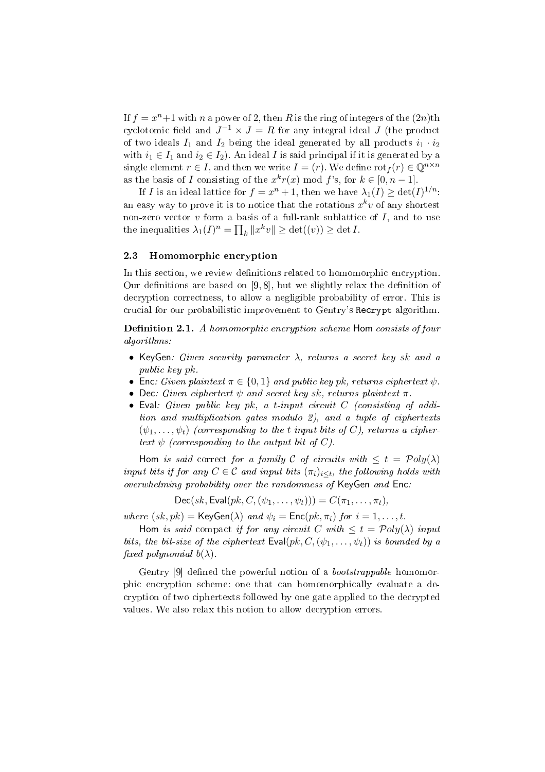If  $f = x^n + 1$  with n a power of 2, then R is the ring of integers of the  $(2n)$ th cyclotomic field and  $J^{-1} \times J = R$  for any integral ideal  $J$  (the product of two ideals  $I_1$  and  $I_2$  being the ideal generated by all products  $i_1 \cdot i_2$ with  $i_1 \in I_1$  and  $i_2 \in I_2$ ). An ideal I is said principal if it is generated by a single element  $r \in I$ , and then we write  $I = (r)$ . We define  $\mathrm{rot}_f(r) \in \mathbb{Q}^{n \times n}$ as the basis of I consisting of the  $x^k r(x) \mod f$ 's, for  $k \in [0, n-1]$ .

If I is an ideal lattice for  $f = x^n + 1$ , then we have  $\lambda_1(I) \geq \det(I)^{1/n}$ : an easy way to prove it is to notice that the rotations  $x^k v$  of any shortest non-zero vector v form a basis of a full-rank sublattice of I, and to use the inequalities  $\lambda_1(I)^n = \prod_k ||x^k v|| \ge \det((v)) \ge \det I$ .

## 2.3 Homomorphic encryption

In this section, we review definitions related to homomorphic encryption. Our definitions are based on  $[9, 8]$ , but we slightly relax the definition of decryption correctness, to allow a negligible probability of error. This is crucial for our probabilistic improvement to Gentry's Recrypt algorithm.

Definition 2.1. A homomorphic encryption scheme Hom consists of four algorithms:

- KeyGen: Given security parameter  $\lambda$ , returns a secret key sk and a public key pk.
- Enc: Given plaintext  $\pi \in \{0,1\}$  and public key pk, returns ciphertext  $\psi$ .
- Dec: Given ciphertext  $\psi$  and secret key sk, returns plaintext  $\pi$ .
- Eval: Given public key pk, a t-input circuit  $C$  (consisting of addition and multiplication gates modulo 2), and a tuple of ciphertexts  $(\psi_1, \ldots, \psi_t)$  (corresponding to the t input bits of C), returns a ciphertext  $\psi$  (corresponding to the output bit of C).

Hom is said correct for a family C of circuits with  $\leq t = \mathcal{P}oly(\lambda)$ input bits if for any  $C \in \mathcal{C}$  and input bits  $(\pi_i)_{i \leq t}$ , the following holds with overwhelming probability over the randomness of KeyGen and Enc:

 $Dec(sk,Eval(pk, C, (\psi_1, ..., \psi_t))) = C(\pi_1, ..., \pi_t),$ 

where  $(sk, pk) = \text{KeyGen}(\lambda)$  and  $\psi_i = \text{Enc}(pk, \pi_i)$  for  $i = 1, ..., t$ .

Hom is said compact if for any circuit C with  $\leq t = \mathcal{P}oly(\lambda)$  input bits, the bit-size of the ciphertext  $\textsf{Eval}(pk, C, (\psi_1, \ldots, \psi_t))$  is bounded by a fixed polynomial  $b(\lambda)$ .

Gentry [9] defined the powerful notion of a *bootstrappable* homomorphic encryption scheme: one that can homomorphically evaluate a decryption of two ciphertexts followed by one gate applied to the decrypted values. We also relax this notion to allow decryption errors.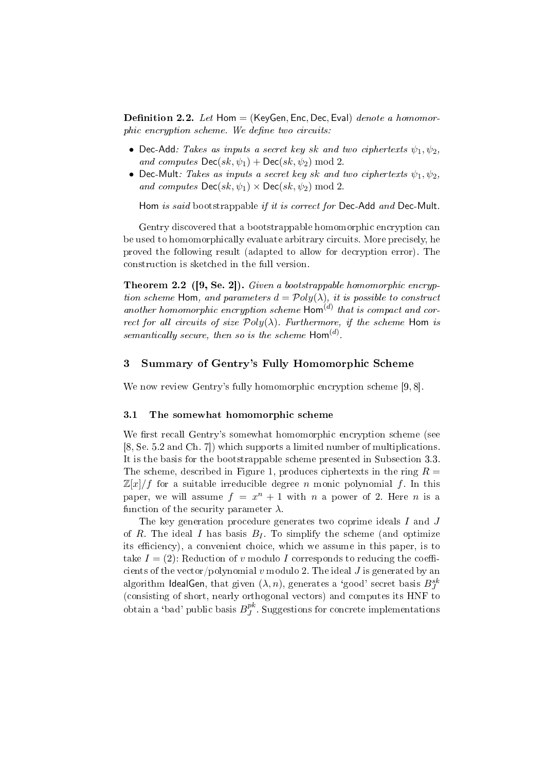**Definition 2.2.** Let Hom  $=$  (KeyGen, Enc, Dec, Eval) denote a homomor $phic$  encryption scheme. We define two circuits:

- Dec-Add: Takes as inputs a secret key sk and two ciphertexts  $\psi_1, \psi_2$ , and computes  $\textsf{Dec}(sk, \psi_1) + \textsf{Dec}(sk, \psi_2) \text{ mod } 2$ .
- Dec-Mult: Takes as inputs a secret key sk and two ciphertexts  $\psi_1, \psi_2$ , and computes  $\mathsf{Dec}(sk, \psi_1) \times \mathsf{Dec}(sk, \psi_2) \text{ mod } 2$ .

Hom is said bootstrappable if it is correct for Dec-Add and Dec-Mult.

Gentry discovered that a bootstrappable homomorphic encryption can be used to homomorphically evaluate arbitrary circuits. More precisely, he proved the following result (adapted to allow for decryption error). The construction is sketched in the full version.

Theorem 2.2 ([9, Se. 2]). Given a bootstrappable homomorphic encryption scheme Hom, and parameters  $d = \mathcal{P}oly(\lambda)$ , it is possible to construct another homomorphic encryption scheme  $\textsf{Hom}^{(d)}$  that is compact and correct for all circuits of size  $Poly(\lambda)$ . Furthermore, if the scheme Hom is semantically secure, then so is the scheme  $\mathsf{Hom}^{(d)}$ .

## 3 Summary of Gentry's Fully Homomorphic Scheme

We now review Gentry's fully homomorphic encryption scheme [9, 8].

### 3.1 The somewhat homomorphic scheme

We first recall Gentry's somewhat homomorphic encryption scheme (see [8, Se. 5.2 and Ch. 7]) which supports a limited number of multiplications. It is the basis for the bootstrappable scheme presented in Subsection 3.3. The scheme, described in Figure 1, produces ciphertexts in the ring  $R =$  $\mathbb{Z}[x]/f$  for a suitable irreducible degree n monic polynomial f. In this paper, we will assume  $f = x^n + 1$  with n a power of 2. Here n is a function of the security parameter  $\lambda$ .

The key generation procedure generates two coprime ideals I and J of R. The ideal I has basis  $B_I$ . To simplify the scheme (and optimize its efficiency), a convenient choice, which we assume in this paper, is to take  $I = (2)$ : Reduction of v modulo I corresponds to reducing the coefficients of the vector/polynomial v modulo 2. The ideal J is generated by an algorithm IdealGen, that given  $(\lambda,n),$  generates a 'good' secret basis  $B^{sk}_J$ (consisting of short, nearly orthogonal vectors) and computes its HNF to obtain a 'bad' public basis  $B^{pk}_J$  $J<sup>p<sub>K</sub></sup>$ . Suggestions for concrete implementations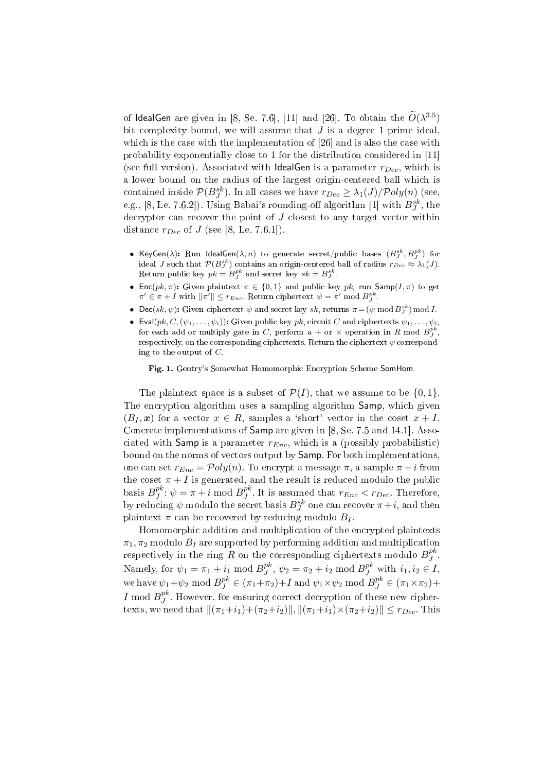of IdealGen are given in [8, Se. 7.6], [11] and [26]. To obtain the  $\widetilde{O}(\lambda^{3.5})$ bit complexity bound, we will assume that  $J$  is a degree 1 prime ideal, which is the case with the implementation of [26] and is also the case with probability exponentially close to 1 for the distribution considered in [11] (see full version). Associated with IdealGen is a parameter  $r_{Dec}$ , which is a lower bound on the radius of the largest origin-centered ball which is contained inside  $\mathcal{P}(B^{sk}_J)$ . In all cases we have  $r_{Dec}\geq \lambda_1(J)/\mathcal{P}oly(n)$  (see, e.g., [8, Le. 7.6.2]). Using Babai's rounding-off algorithm [1] with  $B^{sk}_J,$  the decryptor can recover the point of  $J$  closest to any target vector within distance  $r_{Dec}$  of J (see [8, Le. 7.6.1]).

- KeyGen $(\lambda)$ : Run IdealGen $(\lambda, n)$  to generate secret/public bases  $(B^{sk}_J, B^{pk}_J)$  for ideal J such that  $\mathcal{P}(B_j^{sk})$  contains an origin-centered ball of radius  $r_{Dec} \approx \lambda_1(J)$ . Return public key  $pk = B_J^{pk}$  and secret key  $sk = B_J^{sk}$ .
- Enc(pk,  $\pi$ ): Given plaintext  $\pi \in \{0,1\}$  and public key pk, run Samp(I,  $\pi$ ) to get  $\pi' \in \pi + I$  with  $\|\pi'\| \leq r_{Enc}$ . Return ciphertext  $\psi = \pi'$  mod  $B^{pk}_J$ .
- Dec(sk,  $\psi$ ): Given ciphertext  $\psi$  and secret key sk, returns  $\pi = (\psi \mod B_J^{sk}) \mod I$ .
- Eval $(pk, C, (\psi_1, \ldots, \psi_t))$ : Given public key pk, circuit C and ciphertexts  $\psi_1, \ldots, \psi_t$ , for each add or multiply gate in C, perform a + or  $\times$  operation in R mod  $B^{pk}_J$ , respectively, on the corresponding ciphertexts. Return the ciphertext  $\psi$  corresponding to the output of  $C$ .

Fig. 1. Gentry's Somewhat Homomorphic Encryption Scheme SomHom.

The plaintext space is a subset of  $\mathcal{P}(I)$ , that we assume to be  $\{0, 1\}$ . The encryption algorithm uses a sampling algorithm Samp, which given  $(B_I, x)$  for a vector  $x \in R$ , samples a 'short' vector in the coset  $x + I$ . Concrete implementations of Samp are given in [8, Se. 7.5 and 14.1]. Associated with Samp is a parameter  $r_{Enc}$ , which is a (possibly probabilistic) bound on the norms of vectors output by Samp. For both implementations, one can set  $r_{Enc} = \mathcal{P}oly(n)$ . To encrypt a message  $\pi$ , a sample  $\pi + i$  from the coset  $\pi + I$  is generated, and the result is reduced modulo the public basis  $B_J^{pk}$  $j^{pk}$ :  $\psi = \pi + i \mod B_j^{pk}$  $j^{\mu}$ . It is assumed that  $r_{Enc} < r_{Dec}$ . Therefore, by reducing  $\psi$  modulo the secret basis  $B^{sk}_J$  one can recover  $\pi+i,$  and then plaintext  $\pi$  can be recovered by reducing modulo  $B_I$ .

Homomorphic addition and multiplication of the encrypted plaintexts  $\pi_1$ ,  $\pi_2$  modulo  $B_I$  are supported by performing addition and multiplication respectively in the ring R on the corresponding ciphertexts modulo  $B^{pk}_{J}$  $_J^{\rm pk}$  . Namely, for  $\psi_1 = \pi_1 + i_1 \bmod B^{pk}_I$  $j^{pk}$ ,  $\psi_2 = \pi_2 + i_2 \mod B_J^{pk}$  with  $i_1, i_2 \in I$ , we have  $\psi_1 + \psi_2 \mod B_J^{pk} \in (\pi_1 + \pi_2) + I$  and  $\psi_1 \times \psi_2 \mod B_J^{pk} \in (\pi_1 \times \pi_2) + I$ I mod  $B_I^{pk}$  $J<sup>pK</sup>$ . However, for ensuring correct decryption of these new ciphertexts, we need that  $\|(\pi_1+i_1)+(\pi_2+i_2)\|$ ,  $\|(\pi_1+i_1)\times(\pi_2+i_2)\|\leq r_{Dec}$ . This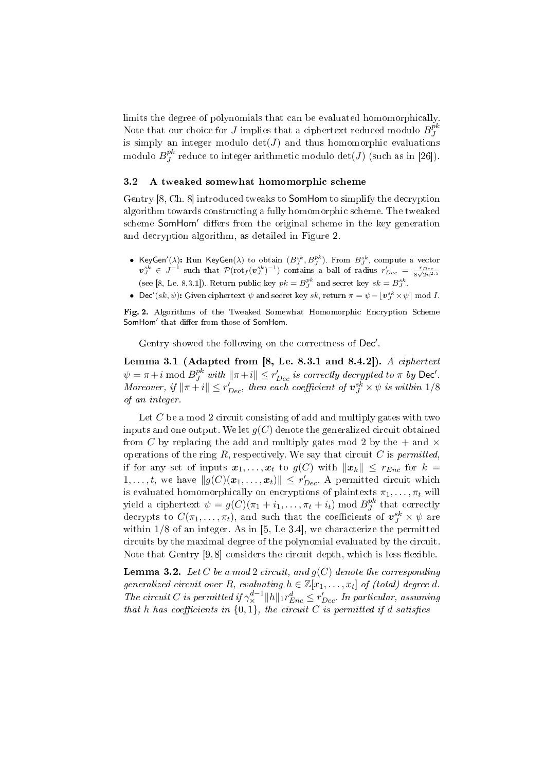limits the degree of polynomials that can be evaluated homomorphically. Note that our choice for J implies that a ciphertext reduced modulo  $B^{pk}_J$ J is simply an integer modulo  $det(J)$  and thus homomorphic evaluations modulo  $B^{pk}_J$  $J^{\mathcal{P}^k}$  reduce to integer arithmetic modulo  $\det(J)$  (such as in [26]).

#### 3.2 A tweaked somewhat homomorphic scheme

Gentry [8, Ch. 8] introduced tweaks to SomHom to simplify the decryption algorithm towards constructing a fully homomorphic scheme. The tweaked scheme SomHom' differs from the original scheme in the key generation and decryption algorithm, as detailed in Figure 2.

- KeyGen<sup>'</sup>( $\lambda$ ): Run KeyGen( $\lambda$ ) to obtain  $(B_j^{sk}, B_j^{pk})$ . From  $B_j^{sk}$ , compute a vector  $v_J^{sk} \in J^{-1}$  such that  $\mathcal{P}(\text{rot}_f(v_J^{sk})^{-1})$  contains a ball of radius  $r'_{Dec} = \frac{r_{Dec}}{8\sqrt{2n^{2.5}}}$ (see [8, Le. 8.3.1]). Return public key  $pk = B_J^{pk}$  and secret key  $sk = B_J^{sk}$ .
- Dec'(sk,  $\psi$ ): Given ciphertext  $\psi$  and secret key sk, return  $\pi = \psi \lfloor v_j^{sk} \times \psi \rfloor \bmod I$ .

Fig. 2. Algorithms of the Tweaked Somewhat Homomorphic Encryption Scheme SomHom' that differ from those of SomHom.

Gentry showed the following on the correctness of Dec'.

Lemma 3.1 (Adapted from  $[8,$  Le. 8.3.1 and 8.4.2]). A ciphertext  $\psi = \pi + i \bmod B_J^{pk}$  with  $\|\pi + i\| \leq r_{Dec}'$  is correctly decrypted to  $\pi$  by Dec'. Moreover, if  $\|\pi + i\| \leq r'_{Dec}$ , then each coefficient of  $\bm{v}_J^{sk} \times \psi$  is within  $1/8$ of an integer.

Let  $C$  be a mod 2 circuit consisting of add and multiply gates with two inputs and one output. We let  $g(C)$  denote the generalized circuit obtained from C by replacing the add and multiply gates mod 2 by the  $+$  and  $\times$ operations of the ring  $R$ , respectively. We say that circuit  $C$  is *permitted*, if for any set of inputs  $x_1, \ldots, x_t$  to  $g(C)$  with  $||x_k|| \leq r_{Enc}$  for  $k =$  $1, \ldots, t$ , we have  $||g(C)(x_1, \ldots, x_t)|| \leq r'_{Dec}$ . A permitted circuit which is evaluated homomorphically on encryptions of plaintexts  $\pi_1, \ldots, \pi_t$  will yield a ciphertext  $\psi = g(C)(\pi_1 + i_1, \ldots, \pi_t + i_t) \bmod B_J^{pk}$  $J<sup>p<sub>K</sub></sup>$  that correctly decrypts to  $C(\pi_1,\ldots,\pi_t),$  and such that the coefficients of  $\bm{v}_J^{sk}\times\psi$  are within  $1/8$  of an integer. As in [5, Le 3.4], we characterize the permitted circuits by the maximal degree of the polynomial evaluated by the circuit. Note that Gentry  $[9, 8]$  considers the circuit depth, which is less flexible.

**Lemma 3.2.** Let C be a mod 2 circuit, and  $g(C)$  denote the corresponding generalized circuit over R, evaluating  $h \in \mathbb{Z}[x_1,\ldots,x_t]$  of (total) degree d. The circuit C is permitted if  $\gamma_{\times}^{d-1} ||h||_1 r_{Enc}^d \leq r_{Dec}^{\prime}$ . In particular, assuming that h has coefficients in  $\{0,1\}$ , the circuit C is permitted if d satisfies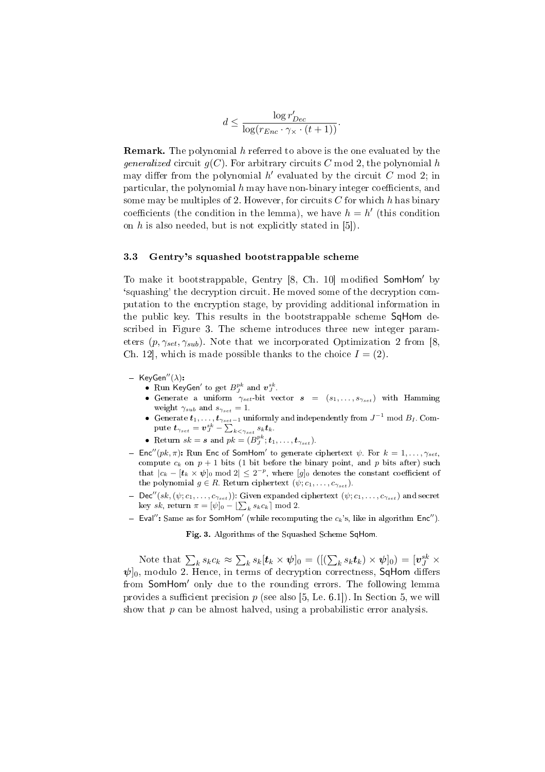$$
d \le \frac{\log r'_{Dec}}{\log(r_{Enc} \cdot \gamma_{\times} \cdot (t+1))}.
$$

**Remark.** The polynomial h referred to above is the one evaluated by the generalized circuit  $g(C)$ . For arbitrary circuits C mod 2, the polynomial h may differ from the polynomial  $h'$  evaluated by the circuit C mod 2; in particular, the polynomial  $h$  may have non-binary integer coefficients, and some may be multiples of 2. However, for circuits C for which h has binary coefficients (the condition in the lemma), we have  $h = h'$  (this condition on  $h$  is also needed, but is not explicitly stated in  $[5]$ .

#### 3.3 Gentry's squashed bootstrappable scheme

To make it bootstrappable, Gentry [8, Ch. 10] modified SomHom' by `squashing' the decryption circuit. He moved some of the decryption computation to the encryption stage, by providing additional information in the public key. This results in the bootstrappable scheme SqHom described in Figure 3. The scheme introduces three new integer parameters  $(p, \gamma_{set}, \gamma_{sub})$ . Note that we incorporated Optimization 2 from [8, Ch. 12, which is made possible thanks to the choice  $I = (2)$ .

- $-$  KeyGen"( $\lambda$ ):
	- Run KeyGen' to get  $B^{pk}_J$  and  $v^{sk}_J$ .
	- Generate a uniform  $\gamma_{set}$  bit vector  $s = (s_1, \ldots, s_{\gamma_{set}})$  with Hamming weight  $\gamma_{sub}$  and  $s_{\gamma_{set}} = 1$ .
	- Generate  $t_1, \ldots, t_{\gamma_{set}-1}$  uniformly and independently from  $J^{-1}$  mod  $B_I$ . Com-Generate  $\bm{\iota}_{1},\dots,\bm{\iota}_{\gamma_{set}}$   $\vdots$   $\mathcal{V}^{s}_{J}$  $_{k<\gamma_{set}}$   $s_k\boldsymbol{t}_k$ .
	- Return  $sk = s$  and  $pk = (B_j^{pk}; t_1, \ldots, t_{\gamma_{set}})$ .
- Enc''( $pk, \pi$ ): Run Enc of SomHom' to generate ciphertext  $\psi$ . For  $k = 1, \ldots, \gamma_{set}$ , compute  $c_k$  on  $p + 1$  bits (1 bit before the binary point, and p bits after) such that  $|c_k - \langle t_k \times \psi \rangle$  mod  $2 \leq 2^{-p}$ , where  $[g]_0$  denotes the constant coefficient of the polynomial  $g \in R$ . Return ciphertext  $(\psi; c_1, \ldots, c_{\gamma_{set}})$ .
- $-\textsf{Dec}''(sk,(\psi;c_1,\ldots,c_{\gamma_{set}}))$ : Given expanded ciphertext  $(\psi;c_1,\ldots,c_{\gamma_{set}})$  and secret bec  $(s\kappa, (\psi; c_1, \ldots, c_{\gamma_{set}}))$ : Given expanded<br>key sk, return  $\pi = [\psi]_0 - [\sum_k s_k c_k] \mod 2$ .
- Eval": Same as for SomHom' (while recomputing the  $c_k$ 's, like in algorithm Enc").

Fig. 3. Algorithms of the Squashed Scheme SqHom.

Note that  $\sum_{k} s_k c_k \approx$  $\overline{ }$  $\mathcal{L}_k s_k[\boldsymbol{t}_k\times \boldsymbol{\psi}]_0 = ([(\sum_k s_k \boldsymbol{t}_k) \times \boldsymbol{\psi}]_0) = [\boldsymbol{v}^{sk}_J \times$  $\psi$ <sub>0</sub>, modulo 2. Hence, in terms of decryption correctness, SqHom differs from SomHom' only due to the rounding errors. The following lemma provides a sufficient precision  $p$  (see also [5, Le. 6.1]). In Section 5, we will show that  $p$  can be almost halved, using a probabilistic error analysis.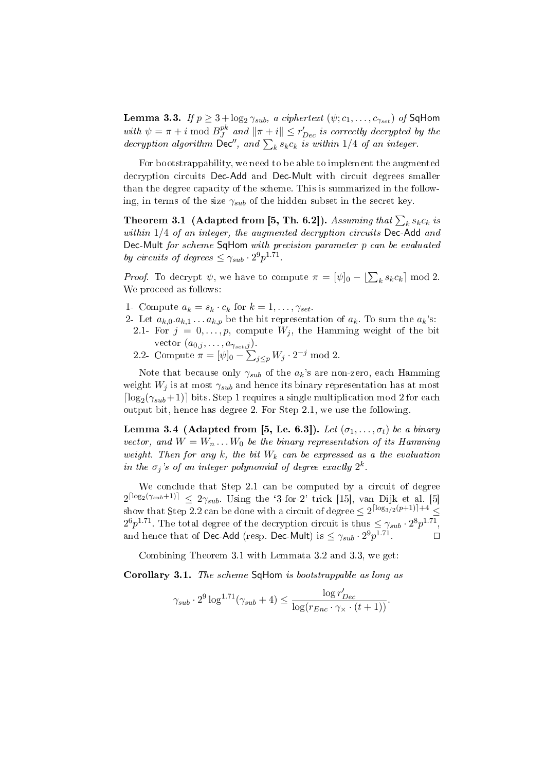Lemma 3.3. If  $p \geq 3 + \log_2 \gamma_{sub}$ , a ciphertext  $(\psi; c_1, \ldots, c_{\gamma_{set}})$  of SqHom with  $\psi = \pi + i \mod B_J^{pk}$ with  $\psi = \pi + i \mod B_J^{pk}$  and  $\|\pi + i\| \leq r'_{Dec}$  is correctly decrypted by the decryption algorithm  $\text{Dec}''$ , and  $\sum_k s_k c_k$  is within 1/4 of an integer.

For bootstrappability, we need to be able to implement the augmented decryption circuits Dec-Add and Dec-Mult with circuit degrees smaller than the degree capacity of the scheme. This is summarized in the following, in terms of the size  $\gamma_{sub}$  of the hidden subset in the secret key.

Theorem 3.1 (Adapted from [5, Th. 6.2]). Assuming that  $\sum_k s_kc_k$  is within  $1/4$  of an integer, the augmented decryption circuits Dec-Add and Dec-Mult for scheme SqHom with precision parameter p can be evaluated by circuits of degrees  $\leq \gamma_{sub} \cdot 2^9 p^{1.71}$ .

*Proof.* To decrypt  $\psi$ , we have to compute  $\pi = [\psi]_0 - [\sum_k s_k c_k] \bmod 2$ . We proceed as follows:

- 1- Compute  $a_k = s_k \cdot c_k$  for  $k = 1, \ldots, \gamma_{set}$ .
- 2- Let  $a_{k,0}.a_{k,1}...a_{k,p}$  be the bit representation of  $a_k$ . To sum the  $a_k$ 's:
- 2.1- For  $j = 0, \ldots, p$ , compute  $W_j$ , the Hamming weight of the bit vector  $(a_{0,j}, \ldots, a_{\gamma_{set},j}).$  $\frac{j}{n}$
- 2.2- Compute  $\pi = [\psi]_0$   $_{j\leq p}W_j\cdot 2^{-j} \bmod 2.$

Note that because only  $\gamma_{sub}$  of the  $a_k$ 's are non-zero, each Hamming weight  $W_j$  is at most  $\gamma_{sub}$  and hence its binary representation has at most  $\lceil \log_2(\gamma_{sub}+1) \rceil$  bits. Step 1 requires a single multiplication mod 2 for each output bit, hence has degree 2. For Step 2.1, we use the following.

Lemma 3.4 (Adapted from [5, Le. 6.3]). Let  $(\sigma_1, \ldots, \sigma_t)$  be a binary vector, and  $W = W_n \dots W_0$  be the binary representation of its Hamming weight. Then for any  $k$ , the bit  $W_k$  can be expressed as a the evaluation in the  $\sigma_j$ 's of an integer polynomial of degree exactly  $2^k$ .

We conclude that Step 2.1 can be computed by a circuit of degree  $2^{\lceil \log_2(\gamma_{sub}+1) \rceil} \leq 2\gamma_{sub}$ . Using the '3-for-2' trick [15], van Dijk et al. [5] show that Step 2.2 can be done with a circuit of degree  $\leq 2^{\lceil \log_{3/2}(p+1) \rceil+4} \leq$  $2^6p^{1.71}$ . The total degree of the decryption circuit is thus  $\leq \gamma_{sub} \cdot 2^8p^{1.71}$ , and hence that of Dec-Add (resp. Dec-Mult) is  $\leq \gamma_{sub} \cdot 2^9 p^{1.71}$ .

Combining Theorem 3.1 with Lemmata 3.2 and 3.3, we get:

Corollary 3.1. The scheme SqHom is bootstrappable as long as

$$
\gamma_{sub} \cdot 2^9 \log^{1.71}(\gamma_{sub} + 4) \le \frac{\log r'_{Dec}}{\log(r_{Enc} \cdot \gamma_{\times} \cdot (t+1))}.
$$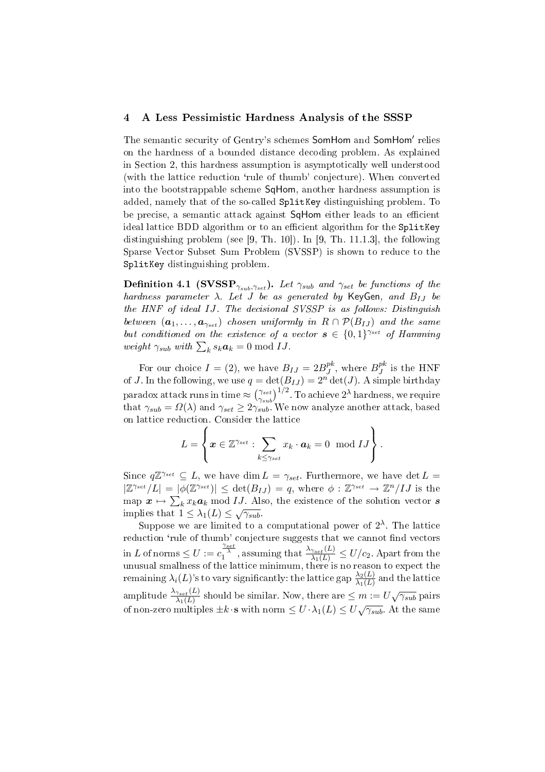## 4 A Less Pessimistic Hardness Analysis of the SSSP

The semantic security of Gentry's schemes SomHom and SomHom' relies on the hardness of a bounded distance decoding problem. As explained in Section 2, this hardness assumption is asymptotically well understood (with the lattice reduction 'rule of thumb' conjecture). When converted into the bootstrappable scheme SqHom, another hardness assumption is added, namely that of the so-called SplitKey distinguishing problem. To be precise, a semantic attack against SqHom either leads to an efficient ideal lattice BDD algorithm or to an efficient algorithm for the SplitKey distinguishing problem (see [9, Th. 10]). In [9, Th. 11.1.3], the following Sparse Vector Subset Sum Problem (SVSSP) is shown to reduce to the SplitKey distinguishing problem.

**Definition 4.1 (SVSSP**<sub> $\gamma_{sub}, \gamma_{set}$ ). Let  $\gamma_{sub}$  and  $\gamma_{set}$  be functions of the</sub> hardness parameter  $\lambda$ . Let J be as generated by KeyGen, and  $B_{IJ}$  be the HNF of ideal IJ. The decisional SVSSP is as follows: Distinguish between  $(a_1, \ldots, a_{\gamma_{set}})$  chosen uniformly in  $R \cap \mathcal{P}(B_{IJ})$  and the same but conditioned on the existence of a vector  $s \in \{0,1\}^{\gamma_{set}}$  of Hamming *vai* conditioned on the existence of a<br>weight  $\gamma_{sub}$  with  $\sum_{k} s_k a_k = 0 \mod IJ$ .

For our choice  $I = (2)$ , we have  $B_{IJ} = 2B_J^{pk}$ , where  $B_J^{pk}$  is the HNF For our choice  $I = (2)$ , we have  $D_J = 2D_J$ , where  $D_J$  is the first of J. In the following, we use  $q = \det(B_{IJ}) = 2^n \det(J)$ . A simple birthday  $\rm{paradox\ attack\ runs\ in\ time} \approx$  $\frac{1}{\gamma_{set}}$  $\gamma_{sub}$  $\left(\frac{D_{IJ}}{D_{IJ}}\right)^{1/2}$ . To achieve  $2^{\lambda}$  hardness, we require that  $\gamma_{sub} = \Omega(\lambda)$  and  $\gamma_{set} \geq 2\gamma_{sub}$ . We now analyze another attack, based on lattice reduction. Consider the lattice  $\mathbf{r}$ 

$$
L = \left\{ \boldsymbol{x} \in \mathbb{Z}^{\gamma_{set}} : \sum_{k \leq \gamma_{set}} x_k \cdot \boldsymbol{a}_k = 0 \mod IJ \right\}.
$$

Since  $q\mathbb{Z}^{\gamma_{set}} \subseteq L$ , we have dim  $L = \gamma_{set}$ . Furthermore, we have det  $L =$  $|\mathbb{Z}^{\gamma_{set}}/L| = |\phi(\mathbb{Z}^{\gamma_{set}})| \leq \det(B_{IJ}) = q$ , where  $\phi : \mathbb{Z}^{\gamma_{set}} \to \mathbb{Z}^n/IJ$  is the map  $x \mapsto \sum_k x_k a_k \bmod{IJ}$  . Also, the existence of the solution vector  $s$ implies that  $1 \leq \lambda_1(L) \leq \sqrt{\gamma_{sub}}$ .

Suppose we are limited to a computational power of  $2^{\lambda}$ . The lattice reduction 'rule of thumb' conjecture suggests that we cannot find vectors  $\lim L$  of norms  $\leq U := c_1^{\frac{\gamma_{set}}{\lambda}}$ , assuming that  $\frac{\lambda_{\gamma_{set}}(L)}{\lambda_1(L)} \leq U/c_2$ . Apart from the unusual smallness of the lattice minimum, there is no reason to expect the remaining  $\lambda_i(L)$ 's to vary significantly: the lattice gap  $\frac{\lambda_2(L)}{\lambda_1(L)}$  and the lattice amplitude  $\frac{\lambda_{\gamma_{set}}(L)}{\lambda_1(L)}$  should be similar. Now, there are  $\leq m:=U\sqrt{\gamma_{sub}}$  pairs of non-zero multiples  $\pm k \cdot s$  with norm  $\leq U \cdot \lambda_1(L) \leq U \sqrt{\gamma_{sub}}$ . At the same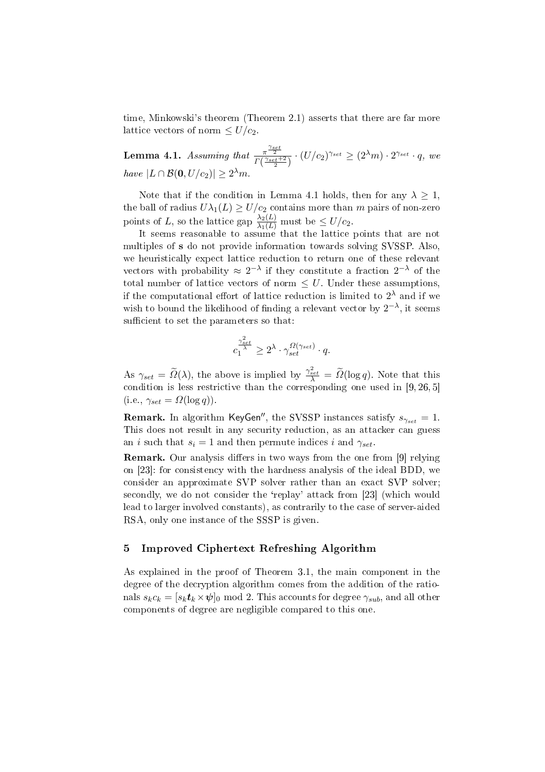time, Minkowski's theorem (Theorem 2.1) asserts that there are far more lattice vectors of norm  $\leq U/c_2$ .

Lemma 4.1. Assuming that  $\frac{\pi^{\frac{\gamma_{set}}{2}}}{\Gamma(\frac{\gamma_{set}+2}{2})}\cdot (U/c_{2})^{\gamma_{set}}\geq (2^{\lambda}m)\cdot 2^{\gamma_{set}}\cdot q$ , we have  $|L \cap \mathcal{B}(0, U/c_2)| \geq 2^{\lambda} m$ .

Note that if the condition in Lemma 4.1 holds, then for any  $\lambda \geq 1$ , the ball of radius  $U\lambda_1(L) \geq U/c_2$  contains more than m pairs of non-zero points of L, so the lattice gap  $\frac{\lambda_2(L)}{\lambda_1(L)}$  must be  $\leq U/c_2$ .

It seems reasonable to assume that the lattice points that are not multiples of s do not provide information towards solving SVSSP. Also, we heuristically expect lattice reduction to return one of these relevant vectors with probability  $\approx 2^{-\lambda}$  if they constitute a fraction  $2^{-\lambda}$  of the total number of lattice vectors of norm  $\leq U$ . Under these assumptions, if the computational effort of lattice reduction is limited to  $2^{\lambda}$  and if we wish to bound the likelihood of finding a relevant vector by  $2^{-\lambda}$ , it seems sufficient to set the parameters so that:

$$
c_1^{\frac{\gamma^2_{set}}{\lambda}} \ge 2^{\lambda} \cdot \gamma_{set}^{\Omega(\gamma_{set})} \cdot q.
$$

As  $\gamma_{set} = \widetilde{\Omega}(\lambda)$ , the above is implied by  $\frac{\gamma_{set}^2}{\lambda} = \widetilde{\Omega}(\log q)$ . Note that this condition is less restrictive than the corresponding one used in  $[9, 26, 5]$  $(i.e., \gamma_{set} = \Omega(\log q)).$ 

**Remark.** In algorithm KeyGen'', the SVSSP instances satisfy  $s_{\gamma_{set}} = 1$ . This does not result in any security reduction, as an attacker can guess an *i* such that  $s_i = 1$  and then permute indices *i* and  $\gamma_{set}$ .

**Remark.** Our analysis differs in two ways from the one from [9] relying on [23]: for consistency with the hardness analysis of the ideal BDD, we consider an approximate SVP solver rather than an exact SVP solver; secondly, we do not consider the 'replay' attack from [23] (which would lead to larger involved constants), as contrarily to the case of server-aided RSA, only one instance of the SSSP is given.

# 5 Improved Ciphertext Refreshing Algorithm

As explained in the proof of Theorem 3.1, the main component in the degree of the decryption algorithm comes from the addition of the rationals  $s_k c_k = [s_k t_k \times \psi]_0 \mod 2$ . This accounts for degree  $\gamma_{sub}$ , and all other components of degree are negligible compared to this one.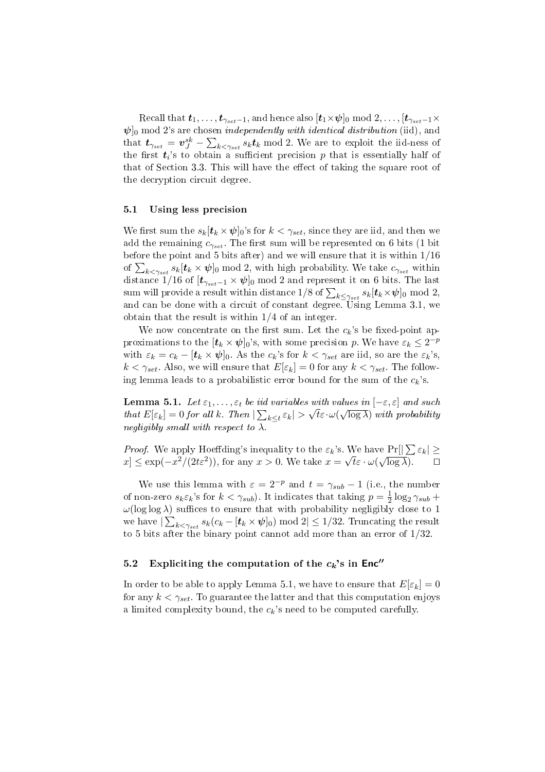Recall that  $t_1, \ldots, t_{\gamma_{set}-1}$ , and hence also  $[t_1 \times \psi]_0 \text{ mod } 2, \ldots, [t_{\gamma_{set}-1} \times$  $\psi$ <sub>0</sub> mod 2's are chosen *independently with identical distribution* (iid), and that  $t_{\gamma_{set}} = v^{sk}_{J} - \sum_{k < \gamma_{set}} s_k t_k \mod 2$ . We are to exploit the iid-ness of the first  $t_i$ 's to obtain a sufficient precision p that is essentially half of that of Section  $3.3$ . This will have the effect of taking the square root of the decryption circuit degree.

#### 5.1 Using less precision

We first sum the  $s_k[t_k \times \psi]_0$ 's for  $k < \gamma_{set}$ , since they are iid, and then we add the remaining  $c_{\gamma_{set}}$ . The first sum will be represented on 6 bits (1 bit before the point and 5 bits after) and we will ensure that it is within 1/16 before the point and 5 bits after) and we will ensure that it is within 1/10 of  $\sum_{k \leq \gamma_{set}} s_k[t_k \times \psi]_0 \mod 2$ , with high probability. We take  $c_{\gamma_{set}}$  within distance  $1/16$  of  $[t_{\gamma_{set}-1} \times \psi]_0 \mod 2$  and represent it on 6 bits. The last sum will provide a result within distance  $1/8$  of  $\sum_{k \leq \gamma_{set}} s_k[t_k \times \psi]_0 \bmod 2,$ and can be done with a circuit of constant degree. Using Lemma 3.1, we obtain that the result is within 1/4 of an integer.

We now concentrate on the first sum. Let the  $c_k$ 's be fixed-point approximations to the  $[\boldsymbol{t}_k \times \boldsymbol{\psi}]_0$ 's, with some precision p. We have  $\varepsilon_k \leq 2^{-p}$ with  $\varepsilon_k = c_k - [t_k \times \psi]_0$ . As the  $c_k$ 's for  $k < \gamma_{set}$  are iid, so are the  $\varepsilon_k$ 's,  $k < \gamma_{set}$ . Also, we will ensure that  $E[\varepsilon_k] = 0$  for any  $k < \gamma_{set}$ . The following lemma leads to a probabilistic error bound for the sum of the  $c_k$ 's.

**Lemma 5.1.** Let  $\varepsilon_1, \ldots, \varepsilon_t$  be iid variables with values in  $[-\varepsilon, \varepsilon]$  and such that  $E[\varepsilon_k] = 0$  for all k. Then  $|\sum_{k \leq t} \varepsilon_k| > \sqrt{t} \varepsilon \cdot \omega(\sqrt{\log \lambda})$  with probability negligibly small with respect to  $\lambda$ .

*Proof.* We apply Hoeffding's inequality to the  $\varepsilon_k$ 's. We have  $Pr[|\sum \varepsilon_k| \geq$  $x \leq \exp(-x^2/(2t\varepsilon^2))$ , for any  $x > 0$ . We take  $x =$ √  $\overline{t} \varepsilon \cdot \omega($ √  $\overline{\log \lambda}$ ).  $\Box$ 

We use this lemma with  $\varepsilon = 2^{-p}$  and  $t = \gamma_{sub} - 1$  (i.e., the number of non-zero  $s_k \varepsilon_k$ 's for  $k < \gamma_{sub}$ ). It indicates that taking  $p = \frac{1}{2}$  $\frac{1}{2} \log_2 \gamma_{sub} +$  $\omega(\log \log \lambda)$  suffices to ensure that with probability negligibly close to 1 we have  $|\sum_{k<\gamma_{set}}s_k(c_k-[\bm{t}_k\times \bm{\psi}]_0) \bmod 2|\leq 1/32.$  Truncating the result to 5 bits after the binary point cannot add more than an error of 1/32.

# 5.2 Expliciting the computation of the  $c_k$ 's in Enc"

In order to be able to apply Lemma 5.1, we have to ensure that  $E[\varepsilon_k] = 0$ for any  $k < \gamma_{set}$ . To guarantee the latter and that this computation enjoys a limited complexity bound, the  $c_k$ 's need to be computed carefully.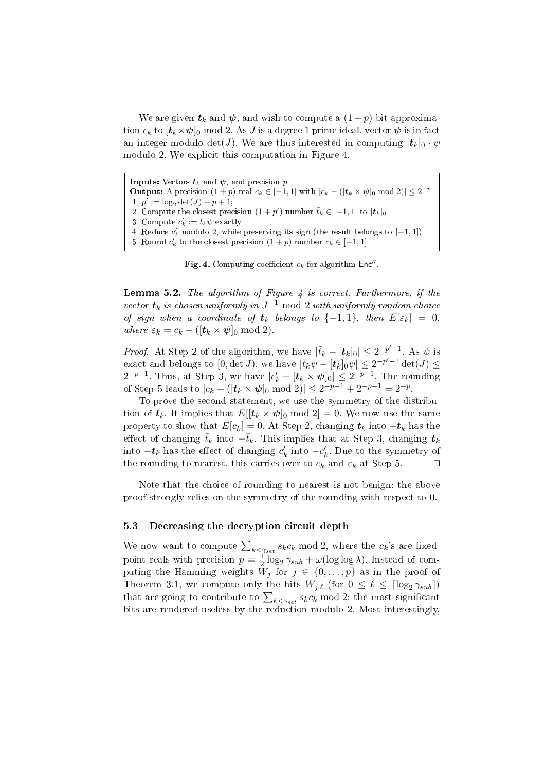We are given  $t_k$  and  $\psi$ , and wish to compute a  $(1+p)$ -bit approximation  $c_k$  to  $[t_k \times \psi]_0$  mod 2. As J is a degree 1 prime ideal, vector  $\psi$  is in fact an integer modulo det(*J*). We are thus interested in computing  $[t_k]_0 \cdot \psi$ modulo 2. We explicit this computation in Figure 4.

**Inputs:** Vectors  $t_k$  and  $\psi$ , and precision p. Output: A precision  $(1+p)$  real  $c_k \in [-1,1]$  with  $|c_k - (\vert t_k \times \psi \vert_0 \mod 2)| \leq 2^{-p}$ . 1.  $p' := \log_2 \det(J) + p + 1;$ 2. Compute the closest precision  $(1+p')$  number  $\bar{t}_k \in [-1,1]$  to  $[t_k]_0$ . 3. Compute  $c'_k := \bar{t}_k \psi$  exactly. 4. Reduce  $c'_k$  modulo 2, while preserving its sign (the result belongs to  $[-1, 1]$ ). 5. Round  $c'_k$  to the closest precision  $(1+p)$  number  $c_k \in [-1,1]$ .

Fig. 4. Computing coefficient  $c_k$  for algorithm Enc".

**Lemma 5.2.** The algorithm of Figure  $\frac{1}{4}$  is correct. Furthermore, if the vector  $\boldsymbol{t}_k$  is chosen uniformly in  $J^{-1}$  mod 2 with uniformly random choice of sign when a coordinate of  $t_k$  belongs to  $\{-1,1\}$ , then  $E[\varepsilon_k] = 0$ , where  $\varepsilon_k = c_k - ([t_k \times \psi]_0 \text{ mod } 2).$ 

*Proof.* At Step 2 of the algorithm, we have  $|\bar{t}_k - [\mathbf{t}_k]_0| \leq 2^{-p'-1}$ . As  $\psi$  is exact and belongs to  $[0, \det J)$ , we have  $|\bar{t}_k \psi - [\bm{t}_k]_0 \psi| \leq 2^{-p'-1} \det(J) \leq$  $2^{-p-1}$ . Thus, at Step 3, we have  $|c'_{k} - [\boldsymbol{t}_{k} \times \boldsymbol{\psi}]_0 | \leq 2^{-p-1}$ . The rounding of Step 5 leads to  $|c_k - (\mathbf{[}t_k \times \mathbf{\psi}]_0 \bmod 2)| \leq 2^{-p-1} + 2^{-p-1} = 2^{-p}$ .

To prove the second statement, we use the symmetry of the distribution of  $t_k$ . It implies that  $E[[t_k \times \psi]_0 \text{ mod } 2] = 0$ . We now use the same property to show that  $E[c_k] = 0$ . At Step 2, changing  $t_k$  into  $-t_k$  has the effect of changing  $\bar{t}_k$  into  $-\bar{t}_k$ . This implies that at Step 3, changing  $t_k$ into  $-t_k$  has the effect of changing  $c'_k$  into  $-c'_k$ . Due to the symmetry of the rounding to nearest, this carries over to  $c_k$  and  $\varepsilon_k$  at Step 5.  $\Box$ 

Note that the choice of rounding to nearest is not benign: the above proof strongly relies on the symmetry of the rounding with respect to 0.

## 5.3 Decreasing the decryption circuit depth

We now want to compute  $\sum_{k \leq \gamma_{set}} s_k c_k \mod 2$ , where the  $c_k$ 's are fixedpoint reals with precision  $p=\frac{1}{2}$  $\frac{1}{2} \log_2 \gamma_{sub} + \omega(\log \log \lambda)$ . Instead of computing the Hamming weights  $W_j$  for  $j \in \{0, \ldots, p\}$  as in the proof of Theorem 3.1, we compute only the bits  $W_{j,\ell}$  (for  $0 \leq \ell \leq \lceil \log_2 \gamma_{sub} \rceil$ ) Theorem 3.1, we compute only the bits  $W_{j,\ell}$  (for  $0 \le \ell \le |\log_2 \gamma_{sub}|$ )<br>that are going to contribute to  $\sum_{k < \gamma_{set}} s_k c_k \mod 2$ : the most significant bits are rendered useless by the reduction modulo 2. Most interestingly,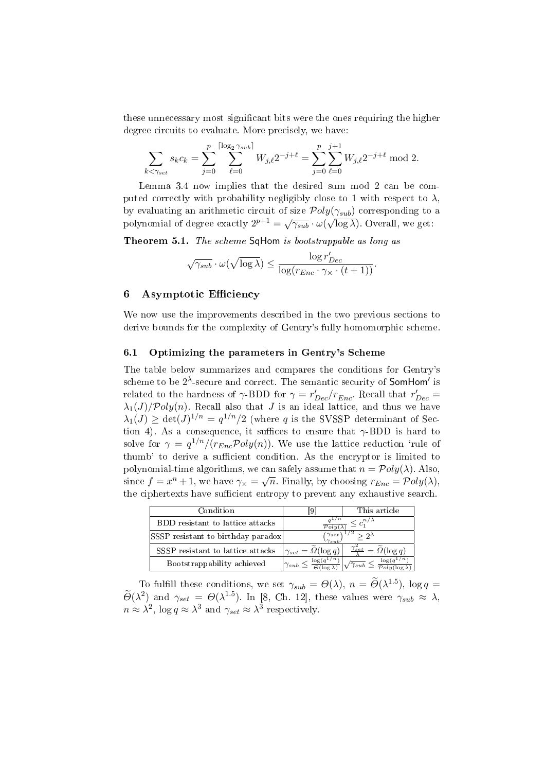these unnecessary most signicant bits were the ones requiring the higher degree circuits to evaluate. More precisely, we have:

$$
\sum_{k < \gamma_{set}} s_k c_k = \sum_{j=0}^p \sum_{\ell=0}^{\lceil \log_2 \gamma_{sub} \rceil} W_{j,\ell} 2^{-j+\ell} = \sum_{j=0}^p \sum_{\ell=0}^{j+1} W_{j,\ell} 2^{-j+\ell} \mod 2.
$$

Lemma 3.4 now implies that the desired sum mod 2 can be computed correctly with probability negligibly close to 1 with respect to  $\lambda$ , by evaluating an arithmetic circuit of size  $Poly(\gamma_{sub})$  corresponding to a by evaluating an arrameter effect of size  $\gamma$  or  $g(\gamma_{sub})$  corresponding to polynomial of degree exactly  $2^{p+1} = \sqrt{\gamma_{sub}} \cdot \omega(\sqrt{\log \lambda})$ . Overall, we get:

Theorem 5.1. The scheme SqHom is bootstrappable as long as

$$
\sqrt{\gamma_{sub}} \cdot \omega(\sqrt{\log \lambda}) \leq \frac{\log r'_{Dec}}{\log(r_{Enc} \cdot \gamma_{\times} \cdot (t+1))}.
$$

## 6 Asymptotic Efficiency

We now use the improvements described in the two previous sections to derive bounds for the complexity of Gentry's fully homomorphic scheme.

# 6.1 Optimizing the parameters in Gentry's Scheme

The table below summarizes and compares the conditions for Gentry's scheme to be  $2^{\lambda}$ -secure and correct. The semantic security of **SomHom'** is related to the hardness of  $\gamma$ -BDD for  $\gamma = r'_{Dec}/r_{Enc}$ . Recall that  $r'_{Dec}$  =  $\lambda_1(J)/\mathcal{P}oly(n)$ . Recall also that J is an ideal lattice, and thus we have  $\lambda_1(J) \geq \det(J)^{1/n} = q^{1/n}/2$  (where q is the SVSSP determinant of Section 4). As a consequence, it suffices to ensure that  $\gamma$ -BDD is hard to solve for  $\gamma = q^{1/n}/(r_{Enc} \mathcal{P}oly(n))$ . We use the lattice reduction 'rule of thumb' to derive a sufficient condition. As the encryptor is limited to polynomial-time algorithms, we can safely assume that  $n = \mathcal{P}oly(\lambda)$ . Also, since  $f = x^n + 1$ , we have  $\gamma_{\times} = \sqrt{n}$ . Finally, by choosing  $r_{Enc} = \mathcal{P}oly(\lambda)$ , the ciphertexts have sufficient entropy to prevent any exhaustive search.

| Condition                          |                                                                    | This article                                   |
|------------------------------------|--------------------------------------------------------------------|------------------------------------------------|
| BDD resistant to lattice attacks   | $\leq c_1^{n/\lambda}$                                             |                                                |
| SSSP resistant to birthday paradox | $^\prime\gamma_{set}$<br>$\cdot$ 2 <sup><math>\lambda</math></sup> |                                                |
| SSSP resistant to lattice attacks  | $\gamma_{set} = \Omega(\log q)$                                    | $\widetilde{\Omega}(\log q)$<br>$\gamma_{set}$ |
| Bootstrappability achieved         | $log(q^{\overline{1/n}})$<br>$\gamma_{sub} \leq$                   | log(q)<br>$\gamma_{sub}$                       |

To fulfill these conditions, we set  $\gamma_{sub} = \Theta(\lambda)$ ,  $n = \widetilde{\Theta}(\lambda^{1.5})$ ,  $\log q =$  $\widetilde{\Theta}(\lambda^2)$  and  $\gamma_{set} = \Theta(\lambda^{1.5})$ . In [8, Ch. 12], these values were  $\gamma_{sub} \approx \lambda$ ,  $n \approx \lambda^2$ ,  $\log q \approx \lambda^3$  and  $\gamma_{set} \approx \lambda^3$  respectively.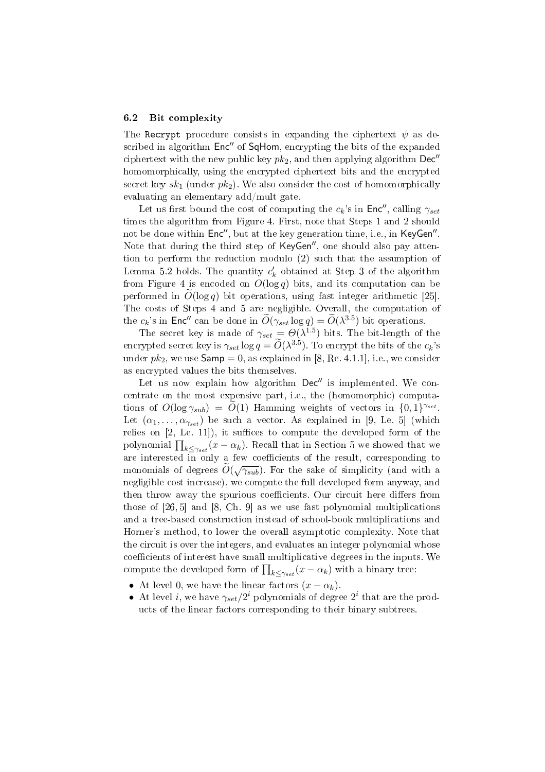#### 6.2 Bit complexity

The Recrypt procedure consists in expanding the ciphertext  $\psi$  as described in algorithm Enc" of SqHom, encrypting the bits of the expanded ciphertext with the new public key  $pk_2$ , and then applying algorithm  $Dec''$ homomorphically, using the encrypted ciphertext bits and the encrypted secret key  $sk_1$  (under  $pk_2$ ). We also consider the cost of homomorphically evaluating an elementary add/mult gate.

Let us first bound the cost of computing the  $c_k$ 's in Enc'', calling  $\gamma_{set}$ times the algorithm from Figure 4. First, note that Steps 1 and 2 should not be done within  $Enc'',$  but at the key generation time, i.e., in KeyGen". Note that during the third step of KeyGen", one should also pay attention to perform the reduction modulo (2) such that the assumption of Lemma 5.2 holds. The quantity  $c'_k$  obtained at Step 3 of the algorithm from Figure 4 is encoded on  $O(\log q)$  bits, and its computation can be performed in  $\tilde{O}(\log q)$  bit operations, using fast integer arithmetic [25]. The costs of Steps 4 and 5 are negligible. Overall, the computation of the  $c_k$ 's in Enc<sup>n</sup> can be done in  $\widetilde{O}(\gamma_{set} \log q) = \widetilde{O}(\lambda^{3.5})$  bit operations.

The secret key is made of  $\gamma_{set} = \Theta(\lambda^{1.5})$  bits. The bit-length of the encrypted secret key is  $\gamma_{set} \log q = \widetilde{O}(\lambda^{3.5})$ . To encrypt the bits of the  $c_k$ 's under  $pk_2$ , we use  $Samp = 0$ , as explained in [8, Re. 4.1.1], i.e., we consider as encrypted values the bits themselves.

Let us now explain how algorithm  $Dec''$  is implemented. We concentrate on the most expensive part, i.e., the (homomorphic) computations of  $O(\log \gamma_{sub}) = \widetilde{O}(1)$  Hamming weights of vectors in  $\{0, 1\}^{\gamma_{set}}$ . Let  $(\alpha_1, \ldots, \alpha_{\gamma_{set}})$  be such a vector. As explained in [9, Le. 5] (which relies on  $[2,$  Le. 11]), it suffices to compute the developed form of the polynomial  $\prod_{k \leq \gamma_{set}} (x - \alpha_k)$ . Recall that in Section 5 we showed that we are interested  $\overline{in}$  only a few coefficients of the result, corresponding to monomials of degrees  $\tilde{O}(\sqrt{\gamma_{sub}})$ . For the sake of simplicity (and with a negligible cost increase), we compute the full developed form anyway, and then throw away the spurious coefficients. Our circuit here differs from those of [26, 5] and [8, Ch. 9] as we use fast polynomial multiplications and a tree-based construction instead of school-book multiplications and Horner's method, to lower the overall asymptotic complexity. Note that the circuit is over the integers, and evaluates an integer polynomial whose coefficients of interest have small multiplicative degrees in the inputs. We coencients of interest nave small multiplicative degrees in the input<br>compute the developed form of  $\prod_{k \leq \gamma_{set}}(x-\alpha_k)$  with a binary tree:

- At level 0, we have the linear factors  $(x \alpha_k)$ .
- At level *i*, we have  $\gamma_{set}/2^i$  polynomials of degree  $2^i$  that are the products of the linear factors corresponding to their binary subtrees.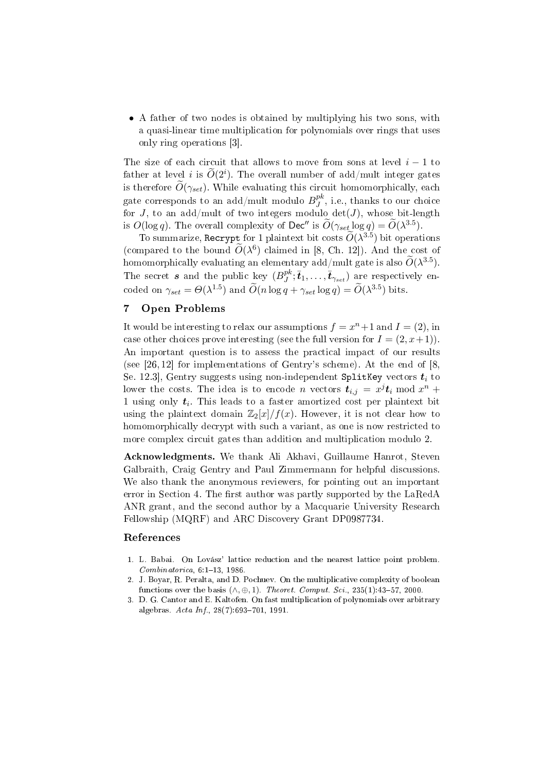• A father of two nodes is obtained by multiplying his two sons, with a quasi-linear time multiplication for polynomials over rings that uses only ring operations [3].

The size of each circuit that allows to move from sons at level  $i - 1$  to father at level  $i$  is  $\widetilde{O}(2^i)$ . The overall number of add/mult integer gates is therefore  $O(\gamma_{set})$ . While evaluating this circuit homomorphically, each gate corresponds to an add/mult modulo  $B^{pk}_J$  $_J^{p\kappa}$ , i.e., thanks to our choice for  $J$ , to an add/mult of two integers modulo  $det(J)$ , whose bit-length is  $O(\log q)$ . The overall complexity of Dec" is  $\widetilde{O}(\gamma_{set} \log q) = \widetilde{O}(\lambda^{3.5})$ .

To summarize, Recrypt for 1 plaintext bit costs  $\widetilde{O}(\lambda^{3.5})$  bit operations (compared to the bound  $\widetilde{O}(\lambda^6)$  claimed in [8, Ch. 12]). And the cost of homomorphically evaluating an elementary add/mult gate is also  $\widetilde{O}(\lambda^{3.5})$ . The secret  $s$  and the public key  $(B^{pk}_I)$  $j^{pk}; \bar{t}_1, \ldots, \bar{t}_{\gamma_{set}})$  are respectively encoded on  $\gamma_{set} = \Theta(\lambda^{1.5})$  and  $\widetilde{O}(n \log q + \gamma_{set} \log q) = \widetilde{O}(\lambda^{3.5})$  bits.

# 7 Open Problems

It would be interesting to relax our assumptions  $f = x^n + 1$  and  $I = (2)$ , in case other choices prove interesting (see the full version for  $I = (2, x+1)$ ). An important question is to assess the practical impact of our results (see  $[26, 12]$  for implementations of Gentry's scheme). At the end of  $[8, 12]$ Se. 12.3], Gentry suggests using non-independent SplitKey vectors  $t_i$  to lower the costs. The idea is to encode n vectors  $t_{i,j} = x^j t_i \bmod x^n +$ 1 using only  $t_i$ . This leads to a faster amortized cost per plaintext bit using the plaintext domain  $\mathbb{Z}_2[x]/f(x)$ . However, it is not clear how to homomorphically decrypt with such a variant, as one is now restricted to more complex circuit gates than addition and multiplication modulo 2.

Acknowledgments. We thank Ali Akhavi, Guillaume Hanrot, Steven Galbraith, Craig Gentry and Paul Zimmermann for helpful discussions. We also thank the anonymous reviewers, for pointing out an important error in Section 4. The first author was partly supported by the LaRedA ANR grant, and the second author by a Macquarie University Research Fellowship (MQRF) and ARC Discovery Grant DP0987734.

# References

- 1. L. Babai. On Lovász' lattice reduction and the nearest lattice point problem.  $Combinatorica, 6:1-13, 1986.$
- 2. J. Boyar, R. Peralta, and D. Pochuev. On the multiplicative complexity of boolean functions over the basis  $(\wedge, \oplus, 1)$ . Theoret. Comput. Sci., 235(1):43-57, 2000.
- 3. D. G. Cantor and E. Kaltofen. On fast multiplication of polynomials over arbitrary algebras.  $Acta Inf.$ , 28(7):693-701, 1991.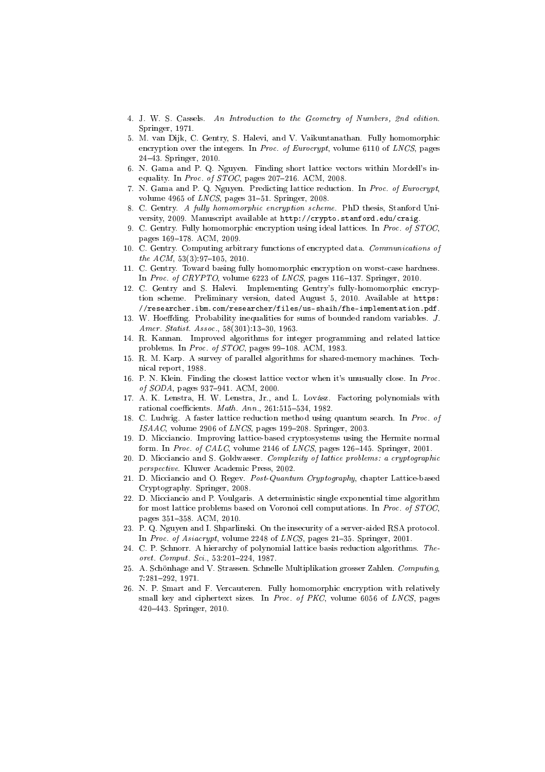- 4. J. W. S. Cassels. An Introduction to the Geometry of Numbers, 2nd edition. Springer, 1971.
- 5. M. van Dijk, C. Gentry, S. Halevi, and V. Vaikuntanathan. Fully homomorphic encryption over the integers. In Proc. of Eurocrypt, volume 6110 of LNCS, pages 2443. Springer, 2010.
- 6. N. Gama and P. Q. Nguyen. Finding short lattice vectors within Mordell's inequality. In Proc. of  $STOC$ , pages 207-216. ACM, 2008.
- 7. N. Gama and P. Q. Nguyen. Predicting lattice reduction. In Proc. of Eurocrypt, volume 4965 of  $LNCS$ , pages 31-51. Springer, 2008.
- 8. C. Gentry. A fully homomorphic encryption scheme. PhD thesis, Stanford University, 2009. Manuscript available at http://crypto.stanford.edu/craig.
- 9. C. Gentry. Fully homomorphic encryption using ideal lattices. In Proc. of STOC, pages 169-178. ACM, 2009.
- 10. C. Gentry. Computing arbitrary functions of encrypted data. Communications of the  $ACM$ ,  $53(3):97-105$ ,  $2010$ .
- 11. C. Gentry. Toward basing fully homomorphic encryption on worst-case hardness. In Proc. of CRYPTO, volume  $6223$  of LNCS, pages 116-137. Springer, 2010.
- 12. C. Gentry and S. Halevi. Implementing Gentry's fully-homomorphic encryption scheme. Preliminary version, dated August 5, 2010. Available at https: //researcher.ibm.com/researcher/files/us-shaih/fhe-implementation.pdf.
- 13. W. Hoeffding. Probability inequalities for sums of bounded random variables. J. Amer. Statist. Assoc.,  $58(301)$ :13-30, 1963.
- 14. R. Kannan. Improved algorithms for integer programming and related lattice problems. In Proc. of  $STOC$ , pages 99-108. ACM, 1983.
- 15. R. M. Karp. A survey of parallel algorithms for shared-memory machines. Technical report, 1988.
- 16. P. N. Klein. Finding the closest lattice vector when it's unusually close. In Proc. of SODA, pages 937-941. ACM, 2000.
- 17. A. K. Lenstra, H. W. Lenstra, Jr., and L. Lovász. Factoring polynomials with rational coefficients.  $Math. Ann., 261:515-534, 1982.$
- 18. C. Ludwig. A faster lattice reduction method using quantum search. In Proc. of  $ISAAC$ , volume 2906 of  $LNCS$ , pages 199–208. Springer, 2003.
- 19. D. Micciancio. Improving lattice-based cryptosystems using the Hermite normal form. In Proc. of CALC, volume 2146 of LNCS, pages  $126-145$ . Springer, 2001.
- 20. D. Micciancio and S. Goldwasser. Complexity of lattice problems: a cryptographic perspective. Kluwer Academic Press, 2002.
- 21. D. Micciancio and O. Regev. Post-Quantum Cryptography, chapter Lattice-based Cryptography. Springer, 2008.
- 22. D. Micciancio and P. Voulgaris. A deterministic single exponential time algorithm for most lattice problems based on Voronoi cell computations. In Proc. of STOC, pages 351-358. ACM, 2010.
- 23. P. Q. Nguyen and I. Shparlinski. On the insecurity of a server-aided RSA protocol. In Proc. of Asiacrypt, volume 2248 of LNCS, pages  $21-35$ . Springer, 2001.
- 24. C. P. Schnorr. A hierarchy of polynomial lattice basis reduction algorithms. Theoret. Comput. Sci.,  $53:201-224$ , 1987.
- 25. A. Schönhage and V. Strassen. Schnelle Multiplikation grosser Zahlen. Computing, 7:281292, 1971.
- 26. N. P. Smart and F. Vercauteren. Fully homomorphic encryption with relatively small key and ciphertext sizes. In Proc. of PKC, volume 6056 of LNCS, pages 420443. Springer, 2010.